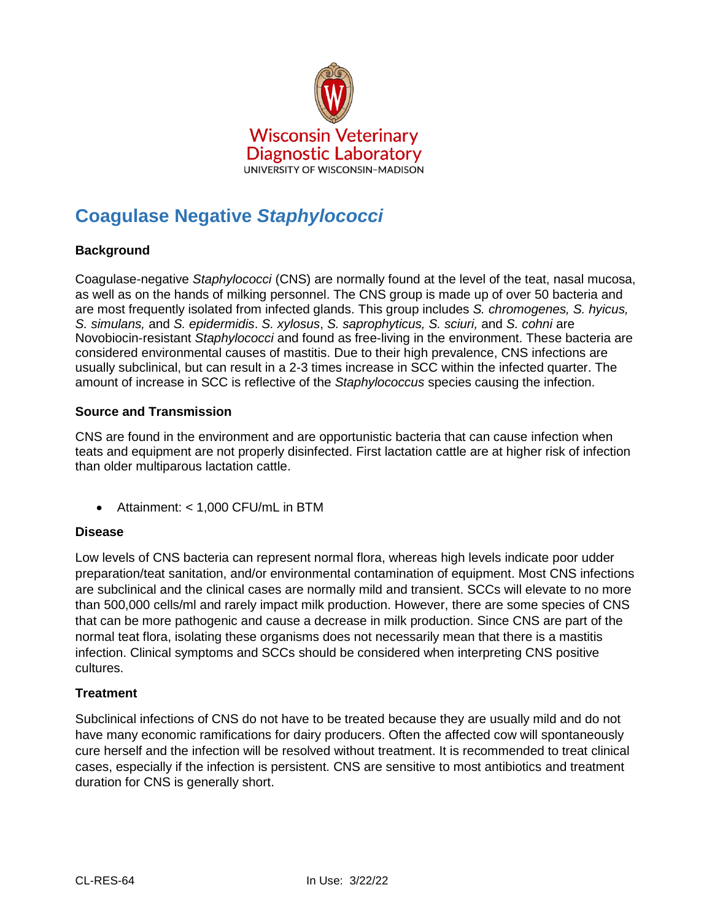

# **Coagulase Negative** *Staphylococci*

# **Background**

Coagulase-negative *Staphylococci* (CNS) are normally found at the level of the teat, nasal mucosa, as well as on the hands of milking personnel. The CNS group is made up of over 50 bacteria and are most frequently isolated from infected glands. This group includes *S. chromogenes, S. hyicus, S. simulans,* and *S. epidermidis*. *S. xylosus*, *S. saprophyticus, S. sciuri,* and *S. cohni* are Novobiocin-resistant *Staphylococci* and found as free-living in the environment. These bacteria are considered environmental causes of mastitis. Due to their high prevalence, CNS infections are usually subclinical, but can result in a 2-3 times increase in SCC within the infected quarter. The amount of increase in SCC is reflective of the *Staphylococcus* species causing the infection.

### **Source and Transmission**

CNS are found in the environment and are opportunistic bacteria that can cause infection when teats and equipment are not properly disinfected. First lactation cattle are at higher risk of infection than older multiparous lactation cattle.

Attainment: < 1,000 CFU/mL in BTM

#### **Disease**

Low levels of CNS bacteria can represent normal flora, whereas high levels indicate poor udder preparation/teat sanitation, and/or environmental contamination of equipment. Most CNS infections are subclinical and the clinical cases are normally mild and transient. SCCs will elevate to no more than 500,000 cells/ml and rarely impact milk production. However, there are some species of CNS that can be more pathogenic and cause a decrease in milk production. Since CNS are part of the normal teat flora, isolating these organisms does not necessarily mean that there is a mastitis infection. Clinical symptoms and SCCs should be considered when interpreting CNS positive cultures.

#### **Treatment**

Subclinical infections of CNS do not have to be treated because they are usually mild and do not have many economic ramifications for dairy producers. Often the affected cow will spontaneously cure herself and the infection will be resolved without treatment. It is recommended to treat clinical cases, especially if the infection is persistent. CNS are sensitive to most antibiotics and treatment duration for CNS is generally short.